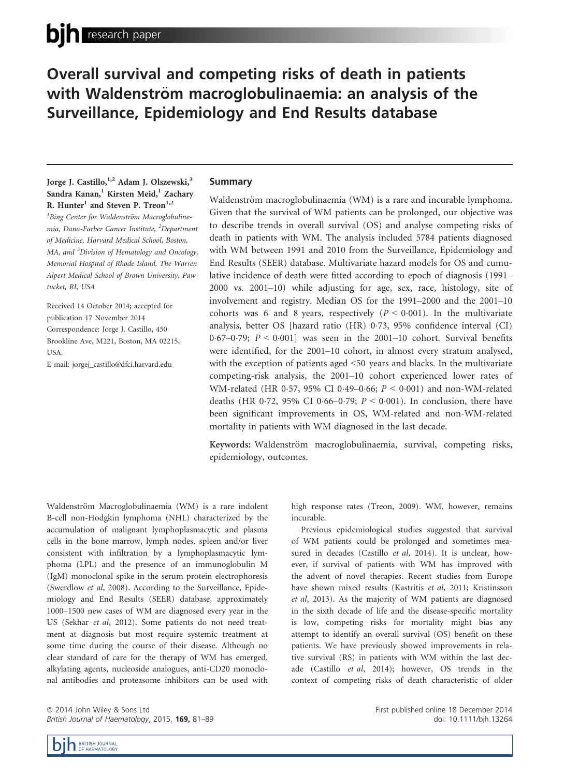# Overall survival and competing risks of death in patients with Waldenström macroglobulinaemia: an analysis of the Surveillance, Epidemiology and End Results database

## Jorge J. Castillo,<sup>1,2</sup> Adam J. Olszewski,<sup>3</sup> Sandra Kanan,<sup>1</sup> Kirsten Meid,<sup>1</sup> Zachary R. Hunter<sup>1</sup> and Steven P. Treon<sup>1,2</sup>

<sup>1</sup>Bing Center for Waldenström Macroglobulinemia, Dana-Farber Cancer Institute, <sup>2</sup>Department of Medicine, Harvard Medical School, Boston, MA, and <sup>3</sup>Division of Hematology and Oncology, Memorial Hospital of Rhode Island, The Warren Alpert Medical School of Brown University, Pawtucket, RI, USA

Received 14 October 2014; accepted for publication 17 November 2014 Correspondence: Jorge J. Castillo, 450 Brookline Ave, M221, Boston, MA 02215, **TISA** 

E-mail: jorgej\_castillo@dfci.harvard.edu

#### Summary

Waldenström macroglobulinaemia (WM) is a rare and incurable lymphoma. Given that the survival of WM patients can be prolonged, our objective was to describe trends in overall survival (OS) and analyse competing risks of death in patients with WM. The analysis included 5784 patients diagnosed with WM between 1991 and 2010 from the Surveillance, Epidemiology and End Results (SEER) database. Multivariate hazard models for OS and cumulative incidence of death were fitted according to epoch of diagnosis (1991– 2000 vs. 2001–10) while adjusting for age, sex, race, histology, site of involvement and registry. Median OS for the 1991–2000 and the 2001–10 cohorts was 6 and 8 years, respectively  $(P < 0.001)$ . In the multivariate analysis, better OS [hazard ratio (HR) 073, 95% confidence interval (CI) 0.67–0.79;  $P \le 0.001$ ] was seen in the 2001–10 cohort. Survival benefits were identified, for the 2001–10 cohort, in almost every stratum analysed, with the exception of patients aged <50 years and blacks. In the multivariate competing-risk analysis, the 2001–10 cohort experienced lower rates of WM-related (HR 0.57, 95% CI 0.49-0.66;  $P < 0.001$ ) and non-WM-related deaths (HR 0.72, 95% CI 0.66–0.79;  $P < 0.001$ ). In conclusion, there have been significant improvements in OS, WM-related and non-WM-related mortality in patients with WM diagnosed in the last decade.

Keywords: Waldenström macroglobulinaemia, survival, competing risks, epidemiology, outcomes.

Waldenström Macroglobulinaemia (WM) is a rare indolent B-cell non-Hodgkin lymphoma (NHL) characterized by the accumulation of malignant lymphoplasmacytic and plasma cells in the bone marrow, lymph nodes, spleen and/or liver consistent with infiltration by a lymphoplasmacytic lymphoma (LPL) and the presence of an immunoglobulin M (IgM) monoclonal spike in the serum protein electrophoresis (Swerdlow et al, 2008). According to the Surveillance, Epidemiology and End Results (SEER) database, approximately 1000–1500 new cases of WM are diagnosed every year in the US (Sekhar et al, 2012). Some patients do not need treatment at diagnosis but most require systemic treatment at some time during the course of their disease. Although no clear standard of care for the therapy of WM has emerged, alkylating agents, nucleoside analogues, anti-CD20 monoclonal antibodies and proteasome inhibitors can be used with

ª 2014 John Wiley & Sons Ltd British Journal of Haematology, 2015, 169, 81–89 high response rates (Treon, 2009). WM, however, remains incurable.

Previous epidemiological studies suggested that survival of WM patients could be prolonged and sometimes measured in decades (Castillo *et al*, 2014). It is unclear, however, if survival of patients with WM has improved with the advent of novel therapies. Recent studies from Europe have shown mixed results (Kastritis et al, 2011; Kristinsson et al, 2013). As the majority of WM patients are diagnosed in the sixth decade of life and the disease-specific mortality is low, competing risks for mortality might bias any attempt to identify an overall survival (OS) benefit on these patients. We have previously showed improvements in relative survival (RS) in patients with WM within the last decade (Castillo et al, 2014); however, OS trends in the context of competing risks of death characteristic of older

> First published online 18 December 2014 doi: 10.1111/bjh.13264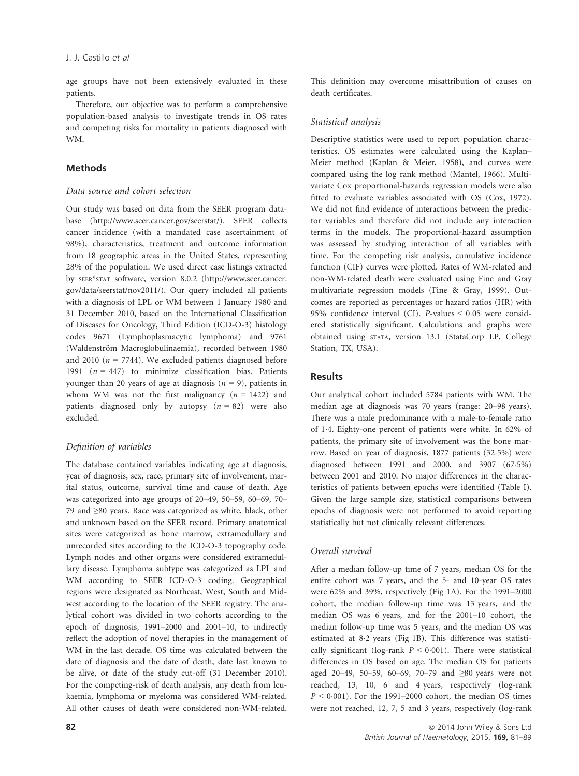age groups have not been extensively evaluated in these patients.

Therefore, our objective was to perform a comprehensive population-based analysis to investigate trends in OS rates and competing risks for mortality in patients diagnosed with WM.

## Methods

#### Data source and cohort selection

Our study was based on data from the SEER program database (http://www.seer.cancer.gov/seerstat/). SEER collects cancer incidence (with a mandated case ascertainment of 98%), characteristics, treatment and outcome information from 18 geographic areas in the United States, representing 28% of the population. We used direct case listings extracted by SEER\*STAT software, version 8.0.2 (http://www.seer.cancer. gov/data/seerstat/nov2011/). Our query included all patients with a diagnosis of LPL or WM between 1 January 1980 and 31 December 2010, based on the International Classification of Diseases for Oncology, Third Edition (ICD-O-3) histology codes 9671 (Lymphoplasmacytic lymphoma) and 9761 (Waldenström Macroglobulinaemia), recorded between 1980 and 2010 ( $n = 7744$ ). We excluded patients diagnosed before 1991 ( $n = 447$ ) to minimize classification bias. Patients younger than 20 years of age at diagnosis ( $n = 9$ ), patients in whom WM was not the first malignancy  $(n = 1422)$  and patients diagnosed only by autopsy  $(n = 82)$  were also excluded.

#### Definition of variables

The database contained variables indicating age at diagnosis, year of diagnosis, sex, race, primary site of involvement, marital status, outcome, survival time and cause of death. Age was categorized into age groups of 20–49, 50–59, 60–69, 70– 79 and ≥80 years. Race was categorized as white, black, other and unknown based on the SEER record. Primary anatomical sites were categorized as bone marrow, extramedullary and unrecorded sites according to the ICD-O-3 topography code. Lymph nodes and other organs were considered extramedullary disease. Lymphoma subtype was categorized as LPL and WM according to SEER ICD-O-3 coding. Geographical regions were designated as Northeast, West, South and Midwest according to the location of the SEER registry. The analytical cohort was divided in two cohorts according to the epoch of diagnosis, 1991–2000 and 2001–10, to indirectly reflect the adoption of novel therapies in the management of WM in the last decade. OS time was calculated between the date of diagnosis and the date of death, date last known to be alive, or date of the study cut-off (31 December 2010). For the competing-risk of death analysis, any death from leukaemia, lymphoma or myeloma was considered WM-related. All other causes of death were considered non-WM-related. This definition may overcome misattribution of causes on death certificates.

#### Statistical analysis

Descriptive statistics were used to report population characteristics. OS estimates were calculated using the Kaplan– Meier method (Kaplan & Meier, 1958), and curves were compared using the log rank method (Mantel, 1966). Multivariate Cox proportional-hazards regression models were also fitted to evaluate variables associated with OS (Cox, 1972). We did not find evidence of interactions between the predictor variables and therefore did not include any interaction terms in the models. The proportional-hazard assumption was assessed by studying interaction of all variables with time. For the competing risk analysis, cumulative incidence function (CIF) curves were plotted. Rates of WM-related and non-WM-related death were evaluated using Fine and Gray multivariate regression models (Fine & Gray, 1999). Outcomes are reported as percentages or hazard ratios (HR) with 95% confidence interval (CI). P-values  $< 0.05$  were considered statistically significant. Calculations and graphs were obtained using STATA, version 13.1 (StataCorp LP, College Station, TX, USA).

#### **Results**

Our analytical cohort included 5784 patients with WM. The median age at diagnosis was 70 years (range: 20–98 years). There was a male predominance with a male-to-female ratio of 14. Eighty-one percent of patients were white. In 62% of patients, the primary site of involvement was the bone marrow. Based on year of diagnosis, 1877 patients (325%) were diagnosed between 1991 and 2000, and 3907 (675%) between 2001 and 2010. No major differences in the characteristics of patients between epochs were identified (Table I). Given the large sample size, statistical comparisons between epochs of diagnosis were not performed to avoid reporting statistically but not clinically relevant differences.

#### Overall survival

After a median follow-up time of 7 years, median OS for the entire cohort was 7 years, and the 5- and 10-year OS rates were 62% and 39%, respectively (Fig 1A). For the 1991–2000 cohort, the median follow-up time was 13 years, and the median OS was 6 years, and for the 2001–10 cohort, the median follow-up time was 5 years, and the median OS was estimated at 8.2 years (Fig 1B). This difference was statistically significant (log-rank  $P \le 0.001$ ). There were statistical differences in OS based on age. The median OS for patients aged 20–49, 50–59, 60–69, 70–79 and ≥80 years were not reached, 13, 10, 6 and 4 years, respectively (log-rank  $P < 0.001$ ). For the 1991–2000 cohort, the median OS times were not reached, 12, 7, 5 and 3 years, respectively (log-rank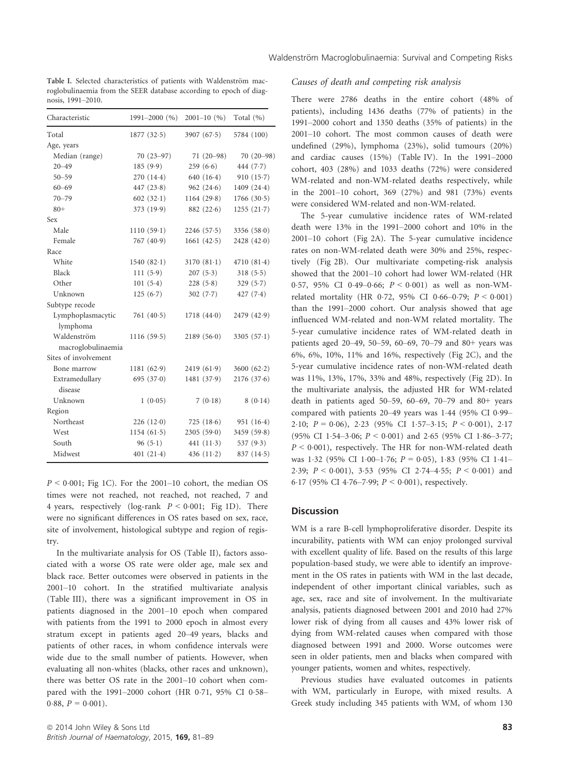Table I. Selected characteristics of patients with Waldenström macroglobulinaemia from the SEER database according to epoch of diagnosis, 1991–2010.

| Characteristic                    | 1991-2000 (%) | $2001 - 10(%)$ | Total $(\% )$ |
|-----------------------------------|---------------|----------------|---------------|
| Total                             | 1877(32.5)    | 3907 (67.5)    | 5784 (100)    |
| Age, years                        |               |                |               |
| Median (range)                    | $70(23 - 97)$ | $71(20 - 98)$  | $70(20 - 98)$ |
| $20 - 49$                         | 185(9.9)      | 259(6.6)       | 444 $(7.7)$   |
| $50 - 59$                         | 270(14.4)     | 640(16.4)      | 910(15.7)     |
| $60 - 69$                         | 447 $(23.8)$  | 962(24.6)      | 1409(24.4)    |
| $70 - 79$                         | 602(32.1)     | 1164(29.8)     | 1766(30.5)    |
| $80+$                             | 373 (19.9)    | 882(22.6)      | 1255(21.7)    |
| Sex                               |               |                |               |
| Male                              | 1110(59.1)    | 2246(57.5)     | 3356(58.0)    |
| Female                            | 767 (40.9)    | 1661(42.5)     | 2428(42.0)    |
| Race                              |               |                |               |
| White                             | $1540(82-1)$  | $3170(81-1)$   | $4710(81-4)$  |
| Black                             | 111(5.9)      | 207(5.3)       | 318(5.5)      |
| Other                             | 101(5.4)      | 228(5.8)       | 329(5.7)      |
| Unknown                           | 125(6.7)      | 302(7.7)       | 427(7.4)      |
| Subtype recode                    |               |                |               |
| Lymphoplasmacytic<br>lymphoma     | 761(40.5)     | 1718(440)      | 2479 (42.9)   |
| Waldenström<br>macroglobulinaemia | 1116(59.5)    | 2189(560)      | $3305(57-1)$  |
| Sites of involvement              |               |                |               |
| Bone marrow                       | 1181(62.9)    | 2419(61.9)     | 3600(62.2)    |
| Extramedullary<br>disease         | 695 $(37.0)$  | 1481 (37.9)    | 2176 (37.6)   |
| Unknown                           | 1(0.05)       | 7(0.18)        | 8(0.14)       |
| Region                            |               |                |               |
| Northeast                         | 226(12.0)     | 725(18.6)      | 951 (16.4)    |
| West                              | 1154(61.5)    | 2305(59.0)     | 3459 (59.8)   |
| South                             | 96(5.1)       | 441 $(11.3)$   | 537 $(9.3)$   |
| Midwest                           | 401(21.4)     | 436 $(11.2)$   | 837 (14.5)    |

 $P < 0.001$ ; Fig 1C). For the 2001–10 cohort, the median OS times were not reached, not reached, not reached, 7 and 4 years, respectively (log-rank  $P < 0.001$ ; Fig 1D). There were no significant differences in OS rates based on sex, race, site of involvement, histological subtype and region of registry.

In the multivariate analysis for OS (Table II), factors associated with a worse OS rate were older age, male sex and black race. Better outcomes were observed in patients in the 2001–10 cohort. In the stratified multivariate analysis (Table III), there was a significant improvement in OS in patients diagnosed in the 2001–10 epoch when compared with patients from the 1991 to 2000 epoch in almost every stratum except in patients aged 20–49 years, blacks and patients of other races, in whom confidence intervals were wide due to the small number of patients. However, when evaluating all non-whites (blacks, other races and unknown), there was better OS rate in the 2001–10 cohort when compared with the 1991–2000 cohort (HR 0.71, 95% CI 0.58–  $0.88, P = 0.001$ .

#### Causes of death and competing risk analysis

There were 2786 deaths in the entire cohort (48% of patients), including 1436 deaths (77% of patients) in the 1991–2000 cohort and 1350 deaths (35% of patients) in the 2001–10 cohort. The most common causes of death were undefined (29%), lymphoma (23%), solid tumours (20%) and cardiac causes (15%) (Table IV). In the 1991–2000 cohort, 403 (28%) and 1033 deaths (72%) were considered WM-related and non-WM-related deaths respectively, while in the 2001–10 cohort, 369 (27%) and 981 (73%) events were considered WM-related and non-WM-related.

The 5-year cumulative incidence rates of WM-related death were 13% in the 1991–2000 cohort and 10% in the 2001–10 cohort (Fig 2A). The 5-year cumulative incidence rates on non-WM-related death were 30% and 25%, respectively (Fig 2B). Our multivariate competing-risk analysis showed that the 2001–10 cohort had lower WM-related (HR 0.57, 95% CI 0.49-0.66;  $P < 0.001$ ) as well as non-WMrelated mortality (HR 0.72, 95% CI 0.66-0.79;  $P < 0.001$ ) than the 1991–2000 cohort. Our analysis showed that age influenced WM-related and non-WM related mortality. The 5-year cumulative incidence rates of WM-related death in patients aged 20–49, 50–59, 60–69, 70–79 and 80+ years was 6%, 6%, 10%, 11% and 16%, respectively (Fig 2C), and the 5-year cumulative incidence rates of non-WM-related death was 11%, 13%, 17%, 33% and 48%, respectively (Fig 2D). In the multivariate analysis, the adjusted HR for WM-related death in patients aged 50–59, 60–69, 70–79 and 80+ years compared with patients  $20-49$  years was  $1.44$  (95% CI 0.99– 2.10;  $P = 0.06$ , 2.23 (95% CI 1.57-3.15;  $P \le 0.001$ ), 2.17 (95% CI 1.54–3.06;  $P < 0.001$ ) and 2.65 (95% CI 1.86–3.77;  $P \le 0.001$ ), respectively. The HR for non-WM-related death was 1.32 (95% CI 1.00–1.76;  $P = 0.05$ ), 1.83 (95% CI 1.41– 2.39;  $P < 0.001$ ), 3.53 (95% CI 2.74-4.55;  $P < 0.001$ ) and 6.17 (95% CI 4.76–7.99;  $P < 0.001$ ), respectively.

## **Discussion**

WM is a rare B-cell lymphoproliferative disorder. Despite its incurability, patients with WM can enjoy prolonged survival with excellent quality of life. Based on the results of this large population-based study, we were able to identify an improvement in the OS rates in patients with WM in the last decade, independent of other important clinical variables, such as age, sex, race and site of involvement. In the multivariate analysis, patients diagnosed between 2001 and 2010 had 27% lower risk of dying from all causes and 43% lower risk of dying from WM-related causes when compared with those diagnosed between 1991 and 2000. Worse outcomes were seen in older patients, men and blacks when compared with younger patients, women and whites, respectively.

Previous studies have evaluated outcomes in patients with WM, particularly in Europe, with mixed results. A Greek study including 345 patients with WM, of whom 130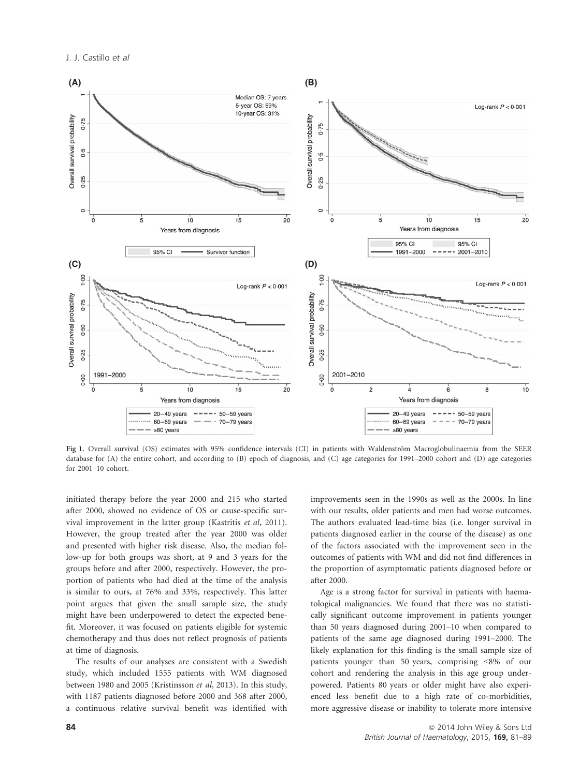

Fig 1. Overall survival (OS) estimates with 95% confidence intervals (CI) in patients with Waldenström Macroglobulinaemia from the SEER database for (A) the entire cohort, and according to (B) epoch of diagnosis, and (C) age categories for 1991–2000 cohort and (D) age categories for 2001–10 cohort.

initiated therapy before the year 2000 and 215 who started after 2000, showed no evidence of OS or cause-specific survival improvement in the latter group (Kastritis et al, 2011). However, the group treated after the year 2000 was older and presented with higher risk disease. Also, the median follow-up for both groups was short, at 9 and 3 years for the groups before and after 2000, respectively. However, the proportion of patients who had died at the time of the analysis is similar to ours, at 76% and 33%, respectively. This latter point argues that given the small sample size, the study might have been underpowered to detect the expected benefit. Moreover, it was focused on patients eligible for systemic chemotherapy and thus does not reflect prognosis of patients at time of diagnosis.

The results of our analyses are consistent with a Swedish study, which included 1555 patients with WM diagnosed between 1980 and 2005 (Kristinsson et al, 2013). In this study, with 1187 patients diagnosed before 2000 and 368 after 2000, a continuous relative survival benefit was identified with improvements seen in the 1990s as well as the 2000s. In line with our results, older patients and men had worse outcomes. The authors evaluated lead-time bias (i.e. longer survival in patients diagnosed earlier in the course of the disease) as one of the factors associated with the improvement seen in the outcomes of patients with WM and did not find differences in the proportion of asymptomatic patients diagnosed before or after 2000.

Age is a strong factor for survival in patients with haematological malignancies. We found that there was no statistically significant outcome improvement in patients younger than 50 years diagnosed during 2001–10 when compared to patients of the same age diagnosed during 1991–2000. The likely explanation for this finding is the small sample size of patients younger than 50 years, comprising <8% of our cohort and rendering the analysis in this age group underpowered. Patients 80 years or older might have also experienced less benefit due to a high rate of co-morbidities, more aggressive disease or inability to tolerate more intensive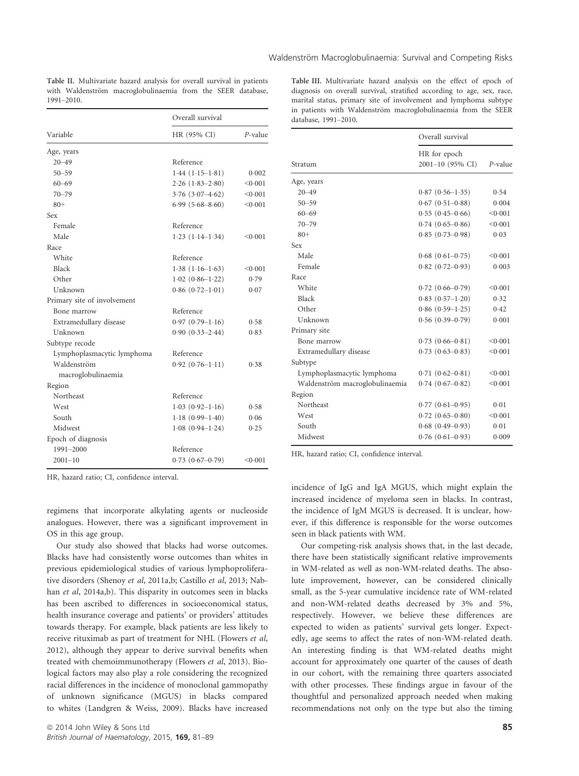Table II. Multivariate hazard analysis for overall survival in patients with Waldenström macroglobulinaemia from the SEER database, 1991–2010.

|                             | Overall survival       |         |
|-----------------------------|------------------------|---------|
| Variable                    | HR (95% CI)            | P-value |
| Age, years                  |                        |         |
| $20 - 49$                   | Reference              |         |
| $50 - 59$                   | $1.44(1.15-1.81)$      | 0.002   |
| $60 - 69$                   | $2.26(1.83-2.80)$      | < 0.001 |
| $70 - 79$                   | $3.76$ $(3.07-4.62)$   | < 0.001 |
| $80+$                       | $6.99(5.68 - 8.60)$    | < 0.001 |
| Sex                         |                        |         |
| Female                      | Reference              |         |
| Male                        | $1.23(1.14-1.34)$      | < 0.001 |
| Race                        |                        |         |
| White                       | Reference              |         |
| <b>Black</b>                | $1.38(1.16-1.63)$      | < 0.001 |
| Other                       | $1.02(0.86-1.22)$      | 0.79    |
| Unknown                     | $0.86(0.72-1.01)$      | 0.07    |
| Primary site of involvement |                        |         |
| Bone marrow                 | Reference              |         |
| Extramedullary disease      | $0.97(0.79-1.16)$      | 0.58    |
| Unknown                     | $0.90(0.33 - 2.44)$    | 0.83    |
| Subtype recode              |                        |         |
| Lymphoplasmacytic lymphoma  | Reference              |         |
| Waldenström                 | $0.92(0.76-1.11)$      | 0.38    |
| macroglobulinaemia          |                        |         |
| Region                      |                        |         |
| Northeast                   | Reference              |         |
| West                        | $1.03(0.92 - 1.16)$    | 0.58    |
| South                       | $1.18(0.99-1.40)$      | 0.06    |
| Midwest                     | $1.08(0.94 - 1.24)$    | 0.25    |
| Epoch of diagnosis          |                        |         |
| 1991-2000                   | Reference              |         |
| $2001 - 10$                 | $0.73$ $(0.67 - 0.79)$ | < 0.001 |
|                             |                        |         |

HR, hazard ratio; CI, confidence interval.

regimens that incorporate alkylating agents or nucleoside analogues. However, there was a significant improvement in OS in this age group.

Our study also showed that blacks had worse outcomes. Blacks have had consistently worse outcomes than whites in previous epidemiological studies of various lymphoproliferative disorders (Shenoy et al, 2011a,b; Castillo et al, 2013; Nabhan et al, 2014a,b). This disparity in outcomes seen in blacks has been ascribed to differences in socioeconomical status, health insurance coverage and patients' or providers' attitudes towards therapy. For example, black patients are less likely to receive rituximab as part of treatment for NHL (Flowers et al, 2012), although they appear to derive survival benefits when treated with chemoimmunotherapy (Flowers et al, 2013). Biological factors may also play a role considering the recognized racial differences in the incidence of monoclonal gammopathy of unknown significance (MGUS) in blacks compared to whites (Landgren & Weiss, 2009). Blacks have increased Table III. Multivariate hazard analysis on the effect of epoch of diagnosis on overall survival, stratified according to age, sex, race, marital status, primary site of involvement and lymphoma subtype in patients with Waldenström macroglobulinaemia from the SEER database, 1991–2010.

|                                | Overall survival                 |            |  |
|--------------------------------|----------------------------------|------------|--|
| Stratum                        | HR for epoch<br>2001-10 (95% CI) | $P$ -value |  |
| Age, years                     |                                  |            |  |
| $20 - 49$                      | $0.87(0.56-1.35)$                | 0.54       |  |
| $50 - 59$                      | $0.67(0.51-0.88)$                | 0.004      |  |
| $60 - 69$                      | $0.55(0.45-0.66)$                | < 0.001    |  |
| $70 - 79$                      | $0.74(0.65 - 0.86)$              | < 0.001    |  |
| $80+$                          | $0.85(0.73-0.98)$                | 0.03       |  |
| Sex                            |                                  |            |  |
| Male                           | $0.68$ $(0.61 - 0.75)$           | < 0.001    |  |
| Female                         | $0.82(0.72-0.93)$                | 0.003      |  |
| Race                           |                                  |            |  |
| White                          | $0.72(0.66 - 0.79)$              | < 0.001    |  |
| Black                          | $0.83(0.57-1.20)$                | 0.32       |  |
| Other                          | $0.86(0.59-1.25)$                | 0.42       |  |
| Unknown                        | $0.56(0.39-0.79)$                | 0.001      |  |
| Primary site                   |                                  |            |  |
| Bone marrow                    | $0.73(0.66 - 0.81)$              | < 0.001    |  |
| Extramedullary disease         | $0.73(0.63 - 0.83)$              | < 0.001    |  |
| Subtype                        |                                  |            |  |
| Lymphoplasmacytic lymphoma     | $0.71(0.62 - 0.81)$              | < 0.001    |  |
| Waldenström macroglobulinaemia | $0.74(0.67-0.82)$                | < 0.001    |  |
| Region                         |                                  |            |  |
| Northeast                      | $0.77(0.61-0.95)$                | 0.01       |  |
| West                           | $0.72(0.65 - 0.80)$              | < 0.001    |  |
| South                          | $0.68$ $(0.49 - 0.93)$           | 0.01       |  |
| Midwest                        | $0.76(0.61-0.93)$                | 0.009      |  |

HR, hazard ratio; CI, confidence interval.

incidence of IgG and IgA MGUS, which might explain the increased incidence of myeloma seen in blacks. In contrast, the incidence of IgM MGUS is decreased. It is unclear, however, if this difference is responsible for the worse outcomes seen in black patients with WM.

Our competing-risk analysis shows that, in the last decade, there have been statistically significant relative improvements in WM-related as well as non-WM-related deaths. The absolute improvement, however, can be considered clinically small, as the 5-year cumulative incidence rate of WM-related and non-WM-related deaths decreased by 3% and 5%, respectively. However, we believe these differences are expected to widen as patients' survival gets longer. Expectedly, age seems to affect the rates of non-WM-related death. An interesting finding is that WM-related deaths might account for approximately one quarter of the causes of death in our cohort, with the remaining three quarters associated with other processes. These findings argue in favour of the thoughtful and personalized approach needed when making recommendations not only on the type but also the timing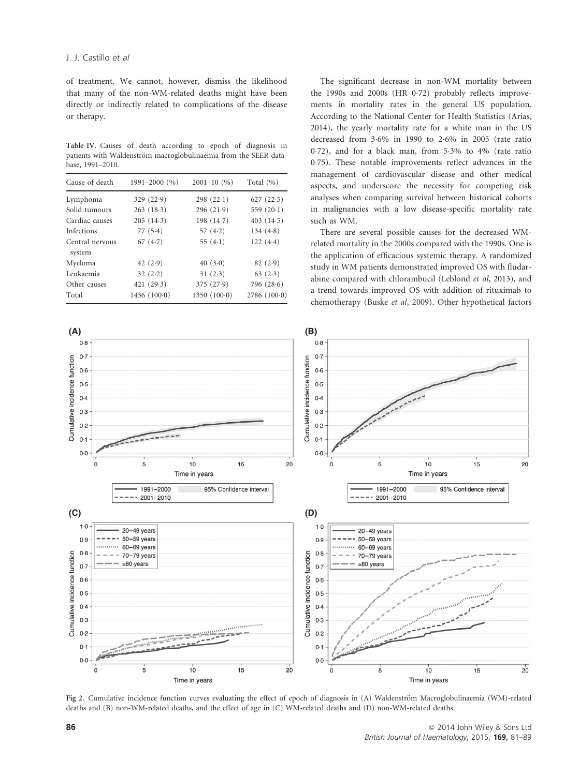## J. J. Castillo et al

of treatment. We cannot, however, dismiss the likelihood that many of the non-WM-related deaths might have been directly or indirectly related to complications of the disease or therapy.

Table IV. Causes of death according to epoch of diagnosis in patients with Waldenström macroglobulinaemia from the SEER database, 1991–2010.

| Cause of death            | 1991-2000 (%) | $2001 - 10(%)$ | Total $(\% )$ |
|---------------------------|---------------|----------------|---------------|
| Lymphoma                  | 329(22.9)     | 298(22.1)      | 627 $(22.5)$  |
| Solid tumours             | 263(18.3)     | 296(21.9)      | 559 $(20.1)$  |
| Cardiac causes            | 205(14.3)     | 198 $(14.7)$   | 403(14.5)     |
| Infections                | 77(5.4)       | 57 $(4.2)$     | 134 $(4.8)$   |
| Central nervous<br>system | 67(4.7)       | 55 $(4.1)$     | 122(4.4)      |
| Myeloma                   | 42 $(2.9)$    | 40(3.0)        | 82(2.9)       |
| Leukaemia                 | 32(2.2)       | 31(2.3)        | 63(2.3)       |
| Other causes              | 421(29.3)     | 375 (27.9)     | 796 (28.6)    |
| Total                     | $1436(100-0)$ | 1350(1000)     | $2786(100-0)$ |

The significant decrease in non-WM mortality between the 1990s and 2000s (HR 0.72) probably reflects improvements in mortality rates in the general US population. According to the National Center for Health Statistics (Arias, 2014), the yearly mortality rate for a white man in the US decreased from 36% in 1990 to 26% in 2005 (rate ratio 072), and for a black man, from 53% to 4% (rate ratio 075). These notable improvements reflect advances in the management of cardiovascular disease and other medical aspects, and underscore the necessity for competing risk analyses when comparing survival between historical cohorts in malignancies with a low disease-specific mortality rate such as WM.

There are several possible causes for the decreased WMrelated mortality in the 2000s compared with the 1990s. One is the application of efficacious systemic therapy. A randomized study in WM patients demonstrated improved OS with fludarabine compared with chlorambucil (Leblond et al, 2013), and a trend towards improved OS with addition of rituximab to chemotherapy (Buske et al, 2009). Other hypothetical factors



Fig 2. Cumulative incidence function curves evaluating the effect of epoch of diagnosis in (A) Waldenström Macroglobulinaemia (WM)-related deaths and (B) non-WM-related deaths, and the effect of age in (C) WM-related deaths and (D) non-WM-related deaths.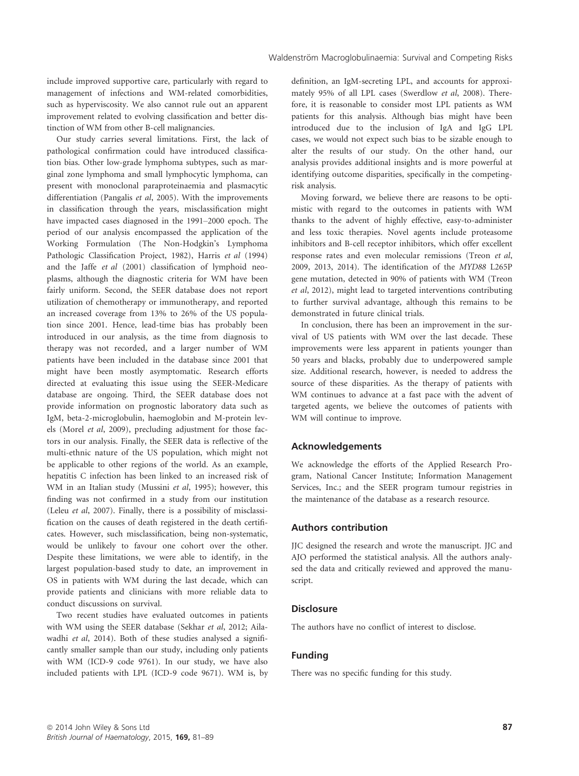include improved supportive care, particularly with regard to management of infections and WM-related comorbidities, such as hyperviscosity. We also cannot rule out an apparent improvement related to evolving classification and better distinction of WM from other B-cell malignancies.

Our study carries several limitations. First, the lack of pathological confirmation could have introduced classification bias. Other low-grade lymphoma subtypes, such as marginal zone lymphoma and small lymphocytic lymphoma, can present with monoclonal paraproteinaemia and plasmacytic differentiation (Pangalis et al, 2005). With the improvements in classification through the years, misclassification might have impacted cases diagnosed in the 1991–2000 epoch. The period of our analysis encompassed the application of the Working Formulation (The Non-Hodgkin's Lymphoma Pathologic Classification Project, 1982), Harris et al (1994) and the Jaffe et al (2001) classification of lymphoid neoplasms, although the diagnostic criteria for WM have been fairly uniform. Second, the SEER database does not report utilization of chemotherapy or immunotherapy, and reported an increased coverage from 13% to 26% of the US population since 2001. Hence, lead-time bias has probably been introduced in our analysis, as the time from diagnosis to therapy was not recorded, and a larger number of WM patients have been included in the database since 2001 that might have been mostly asymptomatic. Research efforts directed at evaluating this issue using the SEER-Medicare database are ongoing. Third, the SEER database does not provide information on prognostic laboratory data such as IgM, beta-2-microglobulin, haemoglobin and M-protein levels (Morel et al, 2009), precluding adjustment for those factors in our analysis. Finally, the SEER data is reflective of the multi-ethnic nature of the US population, which might not be applicable to other regions of the world. As an example, hepatitis C infection has been linked to an increased risk of WM in an Italian study (Mussini et al, 1995); however, this finding was not confirmed in a study from our institution (Leleu et al, 2007). Finally, there is a possibility of misclassification on the causes of death registered in the death certificates. However, such misclassification, being non-systematic, would be unlikely to favour one cohort over the other. Despite these limitations, we were able to identify, in the largest population-based study to date, an improvement in OS in patients with WM during the last decade, which can provide patients and clinicians with more reliable data to conduct discussions on survival.

Two recent studies have evaluated outcomes in patients with WM using the SEER database (Sekhar et al, 2012; Ailawadhi et al, 2014). Both of these studies analysed a significantly smaller sample than our study, including only patients with WM (ICD-9 code 9761). In our study, we have also included patients with LPL (ICD-9 code 9671). WM is, by definition, an IgM-secreting LPL, and accounts for approximately 95% of all LPL cases (Swerdlow et al, 2008). Therefore, it is reasonable to consider most LPL patients as WM patients for this analysis. Although bias might have been introduced due to the inclusion of IgA and IgG LPL cases, we would not expect such bias to be sizable enough to alter the results of our study. On the other hand, our analysis provides additional insights and is more powerful at identifying outcome disparities, specifically in the competingrisk analysis.

Moving forward, we believe there are reasons to be optimistic with regard to the outcomes in patients with WM thanks to the advent of highly effective, easy-to-administer and less toxic therapies. Novel agents include proteasome inhibitors and B-cell receptor inhibitors, which offer excellent response rates and even molecular remissions (Treon et al, 2009, 2013, 2014). The identification of the MYD88 L265P gene mutation, detected in 90% of patients with WM (Treon et al, 2012), might lead to targeted interventions contributing to further survival advantage, although this remains to be demonstrated in future clinical trials.

In conclusion, there has been an improvement in the survival of US patients with WM over the last decade. These improvements were less apparent in patients younger than 50 years and blacks, probably due to underpowered sample size. Additional research, however, is needed to address the source of these disparities. As the therapy of patients with WM continues to advance at a fast pace with the advent of targeted agents, we believe the outcomes of patients with WM will continue to improve.

## Acknowledgements

We acknowledge the efforts of the Applied Research Program, National Cancer Institute; Information Management Services, Inc.; and the SEER program tumour registries in the maintenance of the database as a research resource.

#### Authors contribution

JJC designed the research and wrote the manuscript. JJC and AJO performed the statistical analysis. All the authors analysed the data and critically reviewed and approved the manuscript.

## **Disclosure**

The authors have no conflict of interest to disclose.

## Funding

There was no specific funding for this study.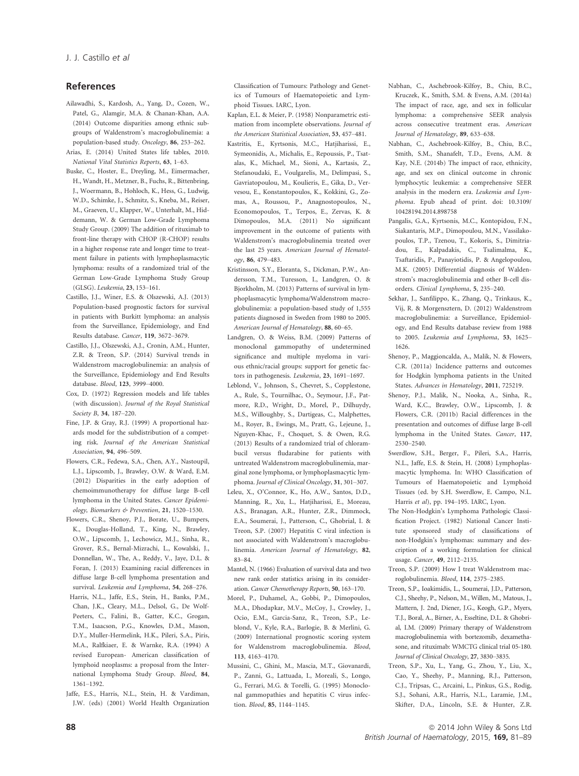## References

- Ailawadhi, S., Kardosh, A., Yang, D., Cozen, W., Patel, G., Alamgir, M.A. & Chanan-Khan, A.A. (2014) Outcome disparities among ethnic subgroups of Waldenstrom's macroglobulinemia: a population-based study. Oncology, 86, 253–262.
- Arias, E. (2014) United States life tables, 2010. National Vital Statistics Reports, 63, 1–63.
- Buske, C., Hoster, E., Dreyling, M., Eimermacher, H., Wandt, H., Metzner, B., Fuchs, R., Bittenbring, J., Woermann, B., Hohloch, K., Hess, G., Ludwig, W.D., Schimke, J., Schmitz, S., Kneba, M., Reiser, M., Graeven, U., Klapper, W., Unterhalt, M., Hiddemann, W. & German Low-Grade Lymphoma Study Group. (2009) The addition of rituximab to front-line therapy with CHOP (R-CHOP) results in a higher response rate and longer time to treatment failure in patients with lymphoplasmacytic lymphoma: results of a randomized trial of the German Low-Grade Lymphoma Study Group (GLSG). Leukemia, 23, 153–161.
- Castillo, J.J., Winer, E.S. & Olszewski, A.J. (2013) Population-based prognostic factors for survival in patients with Burkitt lymphoma: an analysis from the Surveillance, Epidemiology, and End Results database. Cancer, 119, 3672–3679.
- Castillo, J.J., Olszewski, A.J., Cronin, A.M., Hunter, Z.R. & Treon, S.P. (2014) Survival trends in Waldenstrom macroglobulinemia: an analysis of the Surveillance, Epidemiology and End Results database. Blood, 123, 3999–4000.
- Cox, D. (1972) Regression models and life tables (with discussion). Journal of the Royal Statistical Society B, 34, 187–220.
- Fine, J.P. & Gray, R.J. (1999) A proportional hazards model for the subdistribution of a competing risk. Journal of the American Statistical Association, 94, 496–509.
- Flowers, C.R., Fedewa, S.A., Chen, A.Y., Nastoupil, L.J., Lipscomb, J., Brawley, O.W. & Ward, E.M. (2012) Disparities in the early adoption of chemoimmunotherapy for diffuse large B-cell lymphoma in the United States. Cancer Epidemiology, Biomarkers & Prevention, 21, 1520–1530.
- Flowers, C.R., Shenoy, P.J., Borate, U., Bumpers, K., Douglas-Holland, T., King, N., Brawley, O.W., Lipscomb, J., Lechowicz, M.J., Sinha, R., Grover, R.S., Bernal-Mizrachi, L., Kowalski, J., Donnellan, W., The, A., Reddy, V., Jaye, D.L. & Foran, J. (2013) Examining racial differences in diffuse large B-cell lymphoma presentation and survival. Leukemia and Lymphoma, 54, 268–276.
- Harris, N.L., Jaffe, E.S., Stein, H., Banks, P.M., Chan, J.K., Cleary, M.L., Delsol, G., De Wolf-Peeters, C., Falini, B., Gatter, K.C., Grogan, T.M., Isaacson, P.G., Knowles, D.M., Mason, D.Y., Muller-Hermelink, H.K., Pileri, S.A., Piris, M.A., Ralfkiaer, E. & Warnke, R.A. (1994) A revised European- American classification of lymphoid neoplasms: a proposal from the International Lymphoma Study Group. Blood, 84, 1361–1392.
- Jaffe, E.S., Harris, N.L., Stein, H. & Vardiman, J.W. (eds) (2001) World Health Organization

Classification of Tumours: Pathology and Genetics of Tumours of Haematopoietic and Lymphoid Tissues. IARC, Lyon.

- Kaplan, E.L. & Meier, P. (1958) Nonparametric estimation from incomplete observations. Journal of the American Statistical Association, 53, 457–481.
- Kastritis, E., Kyrtsonis, M.C., Hatjiharissi, E., Symeonidis, A., Michalis, E., Repoussis, P., Tsatalas, K., Michael, M., Sioni, A., Kartasis, Z., Stefanoudaki, E., Voulgarelis, M., Delimpasi, S., Gavriatopoulou, M., Koulieris, E., Gika, D., Vervesou, E., Konstantopoulos, K., Kokkini, G., Zomas, A., Roussou, P., Anagnostopoulos, N., Economopoulos, T., Terpos, E., Zervas, K. & Dimopoulos, M.A. (2011) No significant improvement in the outcome of patients with Waldenstrom's macroglobulinemia treated over the last 25 years. American Journal of Hematology, 86, 479–483.
- Kristinsson, S.Y., Eloranta, S., Dickman, P.W., Andersson, T.M., Turesson, I., Landgren, O. & Bjorkholm, M. (2013) Patterns of survival in lymphoplasmacytic lymphoma/Waldenstrom macroglobulinemia: a population-based study of 1,555 patients diagnosed in Sweden from 1980 to 2005. American Journal of Hematology, 88, 60–65.
- Landgren, O. & Weiss, B.M. (2009) Patterns of monoclonal gammopathy of undetermined significance and multiple myeloma in various ethnic/racial groups: support for genetic factors in pathogenesis. Leukemia, 23, 1691–1697.
- Leblond, V., Johnson, S., Chevret, S., Copplestone, A., Rule, S., Tournilhac, O., Seymour, J.F., Patmore, R.D., Wright, D., Morel, P., Dilhuydy, M.S., Willoughby, S., Dartigeas, C., Malphettes, M., Royer, B., Ewings, M., Pratt, G., Lejeune, J., Nguyen-Khac, F., Choquet, S. & Owen, R.G. (2013) Results of a randomized trial of chlorambucil versus fludarabine for patients with untreated Waldenstrom macroglobulinemia, marginal zone lymphoma, or lymphoplasmacytic lymphoma. Journal of Clinical Oncology, 31, 301–307.
- Leleu, X., O'Connor, K., Ho, A.W., Santos, D.D., Manning, R., Xu, L., Hatjiharissi, E., Moreau, A.S., Branagan, A.R., Hunter, Z.R., Dimmock, E.A., Soumerai, J., Patterson, C., Ghobrial, I. & Treon, S.P. (2007) Hepatitis C viral infection is not associated with Waldenstrom's macroglobulinemia. American Journal of Hematology, 82, 83–84.
- Mantel, N. (1966) Evaluation of survival data and two new rank order statistics arising in its consideration. Cancer Chemotherapy Reports, 50, 163–170.
- Morel, P., Duhamel, A., Gobbi, P., Dimopoulos, M.A., Dhodapkar, M.V., McCoy, J., Crowley, J., Ocio, E.M., Garcia-Sanz, R., Treon, S.P., Leblond, V., Kyle, R.A., Barlogie, B. & Merlini, G. (2009) International prognostic scoring system for Waldenstrom macroglobulinemia. Blood, 113, 4163–4170.
- Mussini, C., Ghini, M., Mascia, M.T., Giovanardi, P., Zanni, G., Lattuada, I., Moreali, S., Longo, G., Ferrari, M.G. & Torelli, G. (1995) Monoclonal gammopathies and hepatitis C virus infection. Blood, 85, 1144–1145.
- Nabhan, C., Aschebrook-Kilfoy, B., Chiu, B.C., Kruczek, K., Smith, S.M. & Evens, A.M. (2014a) The impact of race, age, and sex in follicular lymphoma: a comprehensive SEER analysis across consecutive treatment eras. American Journal of Hematology, 89, 633–638.
- Nabhan, C., Aschebrook-Kilfoy, B., Chiu, B.C., Smith, S.M., Shanafelt, T.D., Evens, A.M. & Kay, N.E. (2014b) The impact of race, ethnicity, age, and sex on clinical outcome in chronic lymphocytic leukemia: a comprehensive SEER analysis in the modern era. Leukemia and Lymphoma. Epub ahead of print. doi: 10.3109/ 10428194.2014.898758
- Pangalis, G.A., Kyrtsonis, M.C., Kontopidou, F.N., Siakantaris, M.P., Dimopoulou, M.N., Vassilakopoulos, T.P., Tzenou, T., Kokoris, S., Dimitriadou, E., Kalpadakis, C., Tsalimalma, K., Tsaftaridis, P., Panayiotidis, P. & Angelopoulou, M.K. (2005) Differential diagnosis of Waldenstrom's macroglobulinemia and other B-cell disorders. Clinical Lymphoma, 5, 235–240.
- Sekhar, J., Sanfilippo, K., Zhang, Q., Trinkaus, K., Vij, R. & Morgensztern, D. (2012) Waldenstrom macroglobulinemia: a Surveillance, Epidemiology, and End Results database review from 1988 to 2005. Leukemia and Lymphoma, 53, 1625– 1626.
- Shenoy, P., Maggioncalda, A., Malik, N. & Flowers, C.R. (2011a) Incidence patterns and outcomes for Hodgkin lymphoma patients in the United States. Advances in Hematology, 2011, 725219.
- Shenoy, P.J., Malik, N., Nooka, A., Sinha, R., Ward, K.C., Brawley, O.W., Lipscomb, J. & Flowers, C.R. (2011b) Racial differences in the presentation and outcomes of diffuse large B-cell lymphoma in the United States. Cancer, 117, 2530–2540.
- Swerdlow, S.H., Berger, F., Pileri, S.A., Harris, N.L., Jaffe, E.S. & Stein, H. (2008) Lymphoplasmacytic lymphoma. In: WHO Classification of Tumours of Haematopoietic and Lymphoid Tissues (ed. by S.H. Swerdlow, E. Campo, N.L. Harris et al), pp. 194–195. IARC, Lyon.
- The Non-Hodgkin's Lymphoma Pathologic Classification Project. (1982) National Cancer Institute sponsored study of classifications of non-Hodgkin's lymphomas: summary and description of a working formulation for clinical usage. Cancer, 49, 2112–2135.
- Treon, S.P. (2009) How I treat Waldenstrom macroglobulinemia. Blood, 114, 2375–2385.
- Treon, S.P., Ioakimidis, L., Soumerai, J.D., Patterson, C.J., Sheehy, P., Nelson, M., Willen, M., Matous, J., Mattern, J. 2nd, Diener, J.G., Keogh, G.P., Myers, T.J., Boral, A., Birner, A., Esseltine, D.L. & Ghobrial, I.M. (2009) Primary therapy of Waldenstrom macroglobulinemia with bortezomib, dexamethasone, and rituximab: WMCTG clinical trial 05-180. Journal of Clinical Oncology, 27, 3830–3835.
- Treon, S.P., Xu, L., Yang, G., Zhou, Y., Liu, X., Cao, Y., Sheehy, P., Manning, R.J., Patterson, C.J., Tripsas, C., Arcaini, L., Pinkus, G.S., Rodig, S.J., Sohani, A.R., Harris, N.L., Laramie, J.M., Skifter, D.A., Lincoln, S.E. & Hunter, Z.R.